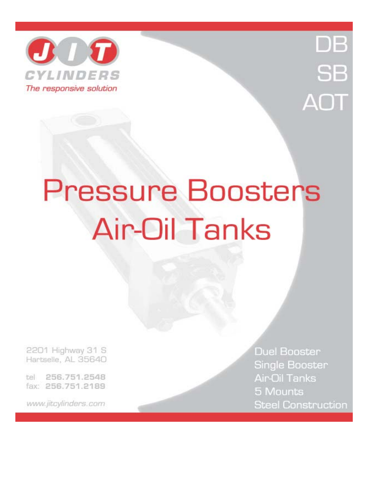



# **Pressure Boosters Air-Oil Tanks**

2201 Highway 31 S Hartselle, AL 35640

256.751.2548 tel fax: 256.751.2189

www.jitcylinders.com

**Duel Booster** Single Booster Air-Oil Tanks 5 Mounts **Steel Construction**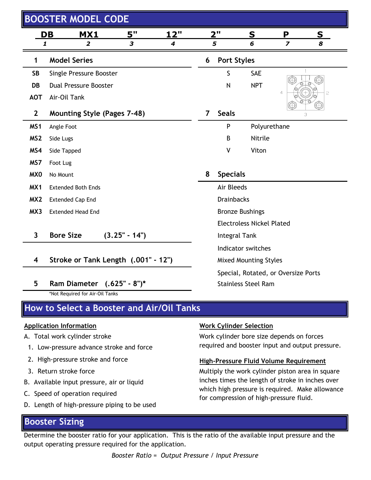|                         | <b>BOOSTER MODEL CODE</b>                  |                 |             |                                           |                                  |                                         |                         |                                                                                                     |  |  |  |
|-------------------------|--------------------------------------------|-----------------|-------------|-------------------------------------------|----------------------------------|-----------------------------------------|-------------------------|-----------------------------------------------------------------------------------------------------|--|--|--|
|                         | DB<br>MX1                                  | 5"              | <u> 12"</u> |                                           | 2"                               |                                         | S<br><u>S</u><br>P      |                                                                                                     |  |  |  |
| 1                       | 2                                          | 3               | 4           |                                           | 5                                | 6                                       | $\overline{\mathbf{z}}$ | 8                                                                                                   |  |  |  |
| 1                       | <b>Model Series</b>                        |                 |             | 6                                         | <b>Port Styles</b>               |                                         |                         |                                                                                                     |  |  |  |
| <b>SB</b>               | Single Pressure Booster                    |                 |             |                                           | S                                | <b>SAE</b>                              |                         |                                                                                                     |  |  |  |
| DB                      | <b>Dual Pressure Booster</b>               |                 |             |                                           | N                                | <b>NPT</b>                              |                         |                                                                                                     |  |  |  |
| <b>AOT</b>              | Air-Oil Tank                               |                 |             |                                           |                                  |                                         | 4                       | 5                                                                                                   |  |  |  |
| $\mathbf{2}$            | <b>Mounting Style (Pages 7-48)</b>         |                 |             | 7                                         | <b>Seals</b>                     |                                         |                         | 3                                                                                                   |  |  |  |
| MS <sub>1</sub>         | Angle Foot                                 |                 |             |                                           | P                                | Polyurethane                            |                         |                                                                                                     |  |  |  |
| MS <sub>2</sub>         | Side Lugs                                  |                 |             |                                           | B                                | Nitrile                                 |                         |                                                                                                     |  |  |  |
| MS4                     | Side Tapped                                |                 |             |                                           | V                                | Viton                                   |                         |                                                                                                     |  |  |  |
| MS7                     | Foot Lug                                   |                 |             |                                           |                                  |                                         |                         |                                                                                                     |  |  |  |
| MX <sub>0</sub>         | No Mount                                   |                 |             | 8                                         | <b>Specials</b>                  |                                         |                         |                                                                                                     |  |  |  |
| MX1                     | <b>Extended Both Ends</b>                  |                 |             |                                           | Air Bleeds                       |                                         |                         |                                                                                                     |  |  |  |
| MX <sub>2</sub>         | <b>Extended Cap End</b>                    |                 |             |                                           | <b>Drainbacks</b>                |                                         |                         |                                                                                                     |  |  |  |
| MX3                     | <b>Extended Head End</b>                   |                 |             |                                           | <b>Bronze Bushings</b>           |                                         |                         |                                                                                                     |  |  |  |
|                         |                                            |                 |             |                                           | <b>Electroless Nickel Plated</b> |                                         |                         |                                                                                                     |  |  |  |
| $\overline{\mathbf{3}}$ | <b>Bore Size</b>                           | $(3.25" - 14")$ |             |                                           | Integral Tank                    |                                         |                         |                                                                                                     |  |  |  |
|                         |                                            |                 |             | Indicator switches                        |                                  |                                         |                         |                                                                                                     |  |  |  |
| 4                       | Stroke or Tank Length (.001" - 12")        |                 |             | <b>Mixed Mounting Styles</b>              |                                  |                                         |                         |                                                                                                     |  |  |  |
|                         |                                            |                 |             | Special, Rotated, or Oversize Ports       |                                  |                                         |                         |                                                                                                     |  |  |  |
| 5                       | Ram Diameter (.625" - 8")*                 |                 |             |                                           |                                  | <b>Stainless Steel Ram</b>              |                         |                                                                                                     |  |  |  |
|                         | *Not Required for Air-Oil Tanks            |                 |             |                                           |                                  |                                         |                         |                                                                                                     |  |  |  |
|                         | How to Select a Booster and Air/Oil Tanks  |                 |             |                                           |                                  |                                         |                         |                                                                                                     |  |  |  |
|                         | <b>Application Information</b>             |                 |             |                                           |                                  | <b>Work Cylinder Selection</b>          |                         |                                                                                                     |  |  |  |
|                         | A. Total work cylinder stroke              |                 |             | Work cylinder bore size depends on forces |                                  |                                         |                         |                                                                                                     |  |  |  |
|                         | 1. Low-pressure advance stroke and force   |                 |             |                                           |                                  |                                         |                         | required and booster input and output pressure.                                                     |  |  |  |
|                         | 2. High-pressure stroke and force          |                 |             |                                           |                                  | High-Pressure Fluid Volume Requirement  |                         |                                                                                                     |  |  |  |
|                         | 3. Return stroke force                     |                 |             |                                           |                                  |                                         |                         | Multiply the work cylinder piston area in square                                                    |  |  |  |
|                         | B. Available input pressure, air or liquid |                 |             |                                           |                                  |                                         |                         | inches times the length of stroke in inches over<br>which high pressure is required. Make allowance |  |  |  |
|                         | C. Speed of operation required             |                 |             |                                           |                                  | for compression of high-pressure fluid. |                         |                                                                                                     |  |  |  |

D. Length of high-pressure piping to be used

## **Booster Sizing**

Determine the booster ratio for your application. This is the ratio of the available input pressure and the output operating pressure required for the application.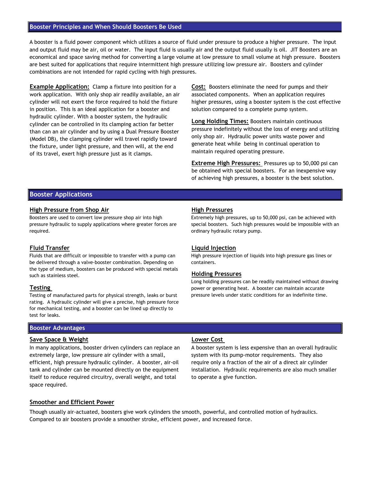#### **Booster Principles and When Should Boosters Be Used**

A booster is a fluid power component which utilizes a source of fluid under pressure to produce a higher pressure. The input and output fluid may be air, oil or water. The input fluid is usually air and the output fluid usually is oil. JIT Boosters are an economical and space saving method for converting a large volume at low pressure to small volume at high pressure. Boosters are best suited for applications that require intermittent high pressure utilizing low pressure air. Boosters and cylinder combinations are not intended for rapid cycling with high pressures.

**Example Application:** Clamp a fixture into position for a work application. With only shop air readily available, an air cylinder will not exert the force required to hold the fixture in position. This is an ideal application for a booster and hydraulic cylinder. With a booster system, the hydraulic cylinder can be controlled in its clamping action far better than can an air cylinder and by using a Dual Pressure Booster (Model DB), the clamping cylinder will travel rapidly toward the fixture, under light pressure, and then will, at the end of its travel, exert high pressure just as it clamps.

**Cost:** Boosters eliminate the need for pumps and their associated components. When an application requires higher pressures, using a booster system is the cost effective solution compared to a complete pump system.

**Long Holding Times:** Boosters maintain continuous pressure indefinitely without the loss of energy and utilizing only shop air. Hydraulic power units waste power and generate heat while being in continual operation to maintain required operating pressure.

**Extreme High Pressures:** Pressures up to 50,000 psi can be obtained with special boosters. For an inexpensive way of achieving high pressures, a booster is the best solution.

#### **Booster Applications**

#### **High Pressure from Shop Air High Pressures**

Boosters are used to convert low pressure shop air into high pressure hydraulic to supply applications where greater forces are required.

#### **Fluid Transfer**

Fluids that are difficult or impossible to transfer with a pump can be delivered through a valve-booster combination. Depending on the type of medium, boosters can be produced with special metals such as stainless steel.

#### **Testing**

Testing of manufactured parts for physical strength, leaks or burst rating. A hydraulic cylinder will give a precise, high pressure force for mechanical testing, and a booster can be lined up directly to test for leaks.

## **Booster Advantages**

#### **Save Space & Weight Lower Cost**

In many applications, booster driven cylinders can replace an extremely large, low pressure air cylinder with a small, efficient, high pressure hydraulic cylinder. A booster, air-oil tank and cylinder can be mounted directly on the equipment itself to reduce required circuitry, overall weight, and total space required.

Extremely high pressures, up to 50,000 psi, can be achieved with special boosters. Such high pressures would be impossible with an ordinary hydraulic rotary pump.

#### **Liquid Injection**

High pressure injection of liquids into high pressure gas lines or containers.

#### **Holding Pressures**

Long holding pressures can be readily maintained without drawing power or generating heat. A booster can maintain accurate pressure levels under static conditions for an indefinite time.

A booster system is less expensive than an overall hydraulic system with its pump-motor requirements. They also require only a fraction of the air of a direct air cylinder installation. Hydraulic requirements are also much smaller to operate a give function.

#### **Smoother and Efficient Power**

Though usually air-actuated, boosters give work cylinders the smooth, powerful, and controlled motion of hydraulics. Compared to air boosters provide a smoother stroke, efficient power, and increased force.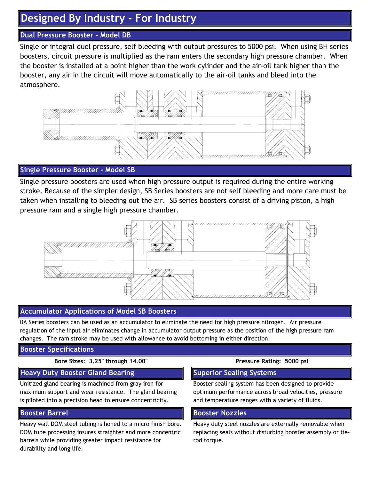# **Designed By Industry - For Industry**

## **Dual Pressure Booster - Model DB**

Single or integral duel pressure, self bleeding with output pressures to 5000 psi. When using BH series boosters, circuit pressure is multiplied as the ram enters the secondary high pressure chamber. When the booster is installed at a point higher than the work cylinder and the air-oil tank higher than the booster, any air in the circuit will move automatically to the air-oil tanks and bleed into the atmosphere.



### **Single Pressure Booster - Model SB**

Single pressure boosters are used when high pressure output is required during the entire working stroke. Because of the simpler design, SB Series boosters are not self bleeding and more care must be taken when installing to bleeding out the air. SB series boosters consist of a driving piston, a high pressure ram and a single high pressure chamber.



### **Accumulator Applications of Model SB Boosters**

BA Series boosters can be used as an accumulator to eliminate the need for high pressure nitrogen. Air pressure regulation of the input air eliminates change in accumulator output pressure as the position of the high pressure ram changes. The ram stroke may be used with allowance to avoid bottoming in either direction.

#### **Booster Specifications**

#### **Bore Sizes: 3.25" through 14.00" Pressure Rating: 5000 psi**

#### **Heavy Duty Booster Gland Bearing The Superior Sealing Systems**

Unitized gland bearing is machined from gray iron for maximum support and wear resistance. The gland bearing is piloted into a precision head to ensure concentricity.

#### **Booster Barrel**

Heavy wall DOM steel tubing is honed to a micro finish bore. DOM tube processing insures straighter and more concentric barrels while providing greater impact resistance for durability and long life.

Booster sealing system has been designed to provide optimum performance across broad velocities, pressure and temperature ranges with a variety of fluids.

#### **Booster Nozzles**

Heavy duty steel nozzles are externally removable when replacing seals without disturbing booster assembly or tierod torque.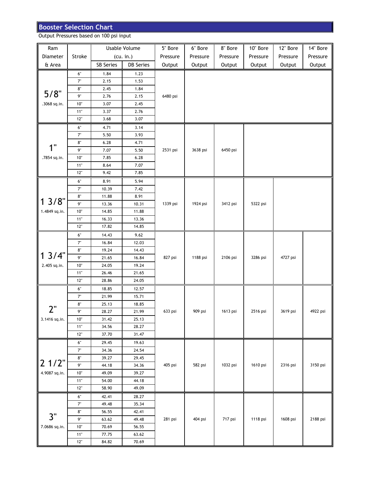# **Booster Selection Chart**

Output Pressures based on 100 psi input

| Ram           |              |                  | Usable Volume    | 5" Bore  | 6" Bore  | 8" Bore  | 10" Bore | 12" Bore | 14" Bore |
|---------------|--------------|------------------|------------------|----------|----------|----------|----------|----------|----------|
| Diameter      | Stroke       |                  | (cu. in.)        | Pressure | Pressure | Pressure | Pressure | Pressure | Pressure |
| & Area        |              | <b>SB Series</b> | <b>DB</b> Series | Output   | Output   | Output   | Output   | Output   | Output   |
|               | $6"$         | 1.84             | 1.23             |          |          |          |          |          |          |
|               | $7^{\circ}$  | 2.15             | 1.53             |          |          |          |          |          |          |
|               | $8^{\circ}$  | 2.45             | 1.84             |          |          |          |          |          |          |
| $5/8$ "       | 9"           | 2.76             | 2.15             | 6480 psi |          |          |          |          |          |
| .3068 sq.in.  | 10"          | 3.07             | 2.45             |          |          |          |          |          |          |
|               | $11"$        | 3.37             | 2.76             |          |          |          |          |          |          |
|               | $12"$        | 3.68             | 3.07             |          |          |          |          |          |          |
|               | $6^\circ$    | 4.71             | 3.14             |          |          |          |          |          |          |
|               | $7^{\circ}$  | 5.50             | 3.93             |          |          |          |          |          |          |
|               | $8^{\circ}$  | 6.28             | 4.71             |          |          |          |          |          |          |
| 1"            | 9"           | 7.07             | 5.50             | 2531 psi | 3638 psi | 6450 psi |          |          |          |
| .7854 sq.in.  | 10"          | 7.85             | 6.28             |          |          |          |          |          |          |
|               | $11"$        | 8.64             | 7.07             |          |          |          |          |          |          |
|               | 12"          | 9.42             | 7.85             |          |          |          |          |          |          |
|               | 6"           | 8.91             | 5.94             |          |          |          |          |          |          |
|               | $7^{\circ}$  | 10.39            | 7.42             |          |          |          |          |          |          |
|               | $8^{\circ}$  | 11.88            | 8.91             |          | 1924 psi |          | 5322 psi |          |          |
| $13/8$ "      | 9"           | 13.36            | 10.31            | 1339 psi |          | 3412 psi |          |          |          |
| 1.4849 sq.in. | $10^{\circ}$ | 14.85            | 11.88            |          |          |          |          |          |          |
|               | $11"$        | 16.33            | 13.36            |          |          |          |          |          |          |
|               | $12"$        | 17.82            | 14.85            |          |          |          |          |          |          |
|               | $6"$         | 14.43            | 9.62             | 827 psi  |          |          |          |          |          |
|               | $7^{\circ}$  | 16.84            | 12.03            |          |          |          |          |          |          |
|               | $8^{\circ}$  | 19.24            | 14.43            |          |          |          |          |          |          |
| 13/4"         | $9"$         | 21.65            | 16.84            |          | 1188 psi | 2106 psi | 3286 psi | 4727 psi |          |
| 2.405 sq.in.  | $10^{\circ}$ | 24.05            | 19.24            |          |          |          |          |          |          |
|               | $11"$        | 26.46            | 21.65            |          |          |          |          |          |          |
|               | 12"          | 28.86            | 24.05            |          |          |          |          |          |          |
|               | $6"$         | 18.85            | 12.57            |          |          |          |          |          |          |
|               | 7"           | 21.99            | 15.71            |          |          |          | 2516 psi | 3619 psi |          |
|               | $8^{\circ}$  | 25.13            | 18.85            |          |          | 1613 psi |          |          | 4922 psi |
| 2"            | 9"           | 28.27            | 21.99            | 633 psi  | 909 psi  |          |          |          |          |
| 3.1416 sq.in. | 10"          | 31.42            | 25.13            |          |          |          |          |          |          |
|               | $11"$        | 34.56            | 28.27            |          |          |          |          |          |          |
|               | $12"$        | 37.70            | 31.47            |          |          |          |          |          |          |
|               | $6^{\circ}$  | 29.45            | 19.63            |          |          |          |          |          |          |
|               | $7^{\circ}$  | 34.36            | 24.54            |          |          |          |          |          |          |
| $21/2$ "      | $8^{\circ}$  | 39.27            | 29.45            |          |          |          |          |          |          |
|               | 9"           | 44.18            | 34.36            | 405 psi  | 582 psi  | 1032 psi | 1610 psi | 2316 psi | 3150 psi |
| 4.9087 sq.in. | $10"$        | 49.09            | 39.27            |          |          |          |          |          |          |
|               | $11"$        | 54.00            | 44.18            |          |          |          |          |          |          |
|               | $12"$        | 58.90            | 49.09            |          |          |          |          |          |          |
|               | $6^\circ$    | 42.41            | 28.27            |          |          |          |          |          |          |
|               | $7^{\circ}$  | 49.48            | 35.34            |          |          |          |          |          |          |
| 3"            | $8^{\circ}$  | 56.55            | 42.41            |          |          |          |          |          |          |
|               | 9"           | 63.62            | 49.48            | 281 psi  | 404 psi  | 717 psi  | 1118 psi | 1608 psi | 2188 psi |
| 7.0686 sq.in. | $10^{\circ}$ | 70.69            | 56.55            |          |          |          |          |          |          |
|               | $11"$        | 77.75            | 63.62            |          |          |          |          |          |          |
|               | $12"$        | 84.82            | 70.69            |          |          |          |          |          |          |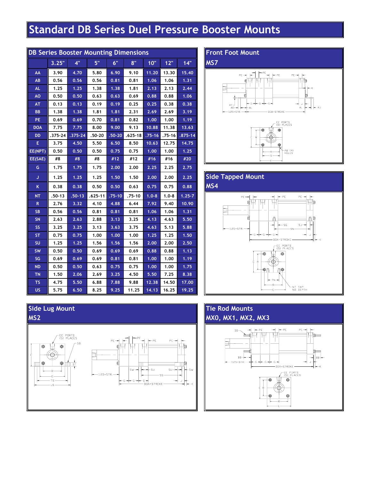# **Standard DB Series Duel Pressure Booster Mounts**

| <b>DB Series Booster Mounting Dimensions</b> |         |             |             |            |             |            |           |             |  |  |  |  |
|----------------------------------------------|---------|-------------|-------------|------------|-------------|------------|-----------|-------------|--|--|--|--|
|                                              | 3.25"   | 4"          | 5"          | 6"         | 8"          | 10"        | 12"       | 14"         |  |  |  |  |
| AA                                           | 3.90    | 4.70        | 5.80        | 6.90       | 9.10        | 11.20      | 13.30     | 15.40       |  |  |  |  |
| AB                                           | 0.56    | 0.56        | 0.56        | 0.81       | 0.81        | 1.06       | 1.06      | 1.31        |  |  |  |  |
| <b>AL</b>                                    | 1.25    | 1.25        | 1.38        | 1.38       | 1.81        | 2.13       | 2.13      | 2.44        |  |  |  |  |
| <b>AO</b>                                    | 0.50    | 0.50        | 0.63        | 0.63       | 0.69        | 0.88       | 0.88      | 1.06        |  |  |  |  |
| AT                                           | 0.13    | 0.13        | 0.19        | 0.19       | 0.25        | 0.25       | 0.38      | 0.38        |  |  |  |  |
| <b>BB</b>                                    | 1.38    | 1.38        | 1.81        | 1.81       | 2.31        | 2.69       | 2.69      | 3.19        |  |  |  |  |
| PE                                           | 0.69    | 0.69        | 0.70        | 0.81       | 0.82        | 1.00       | 1.00      | 1.19        |  |  |  |  |
| <b>DOA</b>                                   | 7.75    | 7.75        | 8.00        | 9.00       | 9.13        | 10.88      | 11.38     | 13.63       |  |  |  |  |
| DD                                           | .375-24 | $.375 - 24$ | $.50 - 20$  | $.50 - 20$ | $.625 - 18$ | $.75 - 16$ | .75-16    | $.875 - 14$ |  |  |  |  |
| Е                                            | 3.75    | 4.50        | 5.50        | 6.50       | 8.50        | 10.63      | 12.75     | 14.75       |  |  |  |  |
| EE(NPT)                                      | 0.50    | 0.50        | 0.50        | 0.75       | 0.75        | 1.00       | 1.00      | 1.25        |  |  |  |  |
| EE(SAE)                                      | #8      | #8          | #8          | #12        | #12         | #16        | #16       | #20         |  |  |  |  |
| G                                            | 1.75    | 1.75        | 1.75        | 2.00       | 2.00        | 2.25       | 2.25      | 2.75        |  |  |  |  |
| J                                            | 1.25    | 1.25        | 1.25        | 1.50       | 1.50        | 2.00       | 2.00      | 2.25        |  |  |  |  |
| K                                            | 0.38    | 0.38        | 0.50        | 0.50       | 0.63        | 0.75       | 0.75      | 0.88        |  |  |  |  |
| <b>NT</b>                                    | .50-13  | $.50 - 13$  | $.625 - 11$ | $.75 - 10$ | .75-10      | $1.0 - 8$  | $1.0 - 8$ | $1.25 - 7$  |  |  |  |  |
| R.                                           | 2.76    | 3.32        | 4.10        | 4.88       | 6.44        | 7.92       | 9.40      | 10.90       |  |  |  |  |
| <b>SB</b>                                    | 0.56    | 0.56        | 0.81        | 0.81       | 0.81        | 1.06       | 1.06      | 1.31        |  |  |  |  |
| <b>SN</b>                                    | 2.63    | 2.63        | 2.88        | 3.13       | 3.25        | 4.13       | 4.63      | 5.50        |  |  |  |  |
| <b>SS</b>                                    | 3.25    | 3.25        | 3.13        | 3.63       | 3.75        | 4.63       | 5.13      | 5.88        |  |  |  |  |
| <b>ST</b>                                    | 0.75    | 0.75        | 1.00        | 1.00       | 1.00        | 1.25       | 1.25      | 1.50        |  |  |  |  |
| <b>SU</b>                                    | 1.25    | 1.25        | 1.56        | 1.56       | 1.56        | 2.00       | 2.00      | 2.50        |  |  |  |  |
| <b>SW</b>                                    | 0.50    | 0.50        | 0.69        | 0.69       | 0.69        | 0.88       | 0.88      | 1.13        |  |  |  |  |
| SG                                           | 0.69    | 0.69        | 0.69        | 0.81       | 0.81        | 1.00       | 1.00      | 1.19        |  |  |  |  |
| <b>ND</b>                                    | 0.50    | 0.50        | 0.63        | 0.75       | 0.75        | 1.00       | 1.00      | 1.75        |  |  |  |  |
| TN                                           | 1.50    | 2.06        | 2.69        | 3.25       | 4.50        | 5.50       | 7.25      | 8.38        |  |  |  |  |
| ΤS                                           | 4.75    | 5.50        | 6.88        | 7.88       | 9.88        | 12.38      | 14.50     | 17.00       |  |  |  |  |
| <b>US</b>                                    | 5.75    | 6.50        | 8.25        | 9.25       | 11.25       | 14.13      | 16.25     | 19.25       |  |  |  |  |

### **Front Foot Mount**

**MS7**







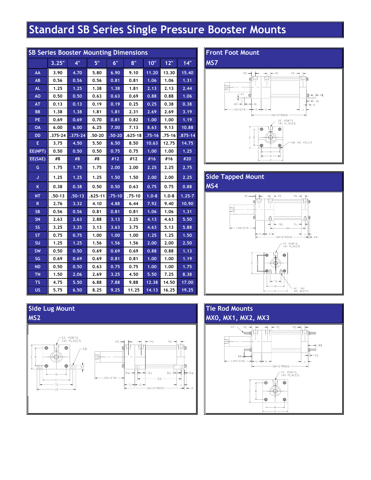# **Standard SB Series Single Pressure Booster Mounts**

| <b>SB Series Booster Mounting Dimensions</b> |            |             |             |            |             |            |            |             |  |  |  |  |
|----------------------------------------------|------------|-------------|-------------|------------|-------------|------------|------------|-------------|--|--|--|--|
|                                              | 3.25"      | 4"          | 5"          | 6"         | 8"          | 10"        | 12"        | 14"         |  |  |  |  |
| AA                                           | 3.90       | 4.70        | 5.80        | 6.90       | 9.10        | 11.20      | 13.30      | 15.40       |  |  |  |  |
| AB                                           | 0.56       | 0.56        | 0.56        | 0.81       | 0.81        | 1.06       | 1.06       | 1.31        |  |  |  |  |
| <b>AL</b>                                    | 1.25       | 1.25        | 1.38        | 1.38       | 1.81        | 2.13       | 2.13       | 2.44        |  |  |  |  |
| AO                                           | 0.50       | 0.50        | 0.63        | 0.63       | 0.69        | 0.88       | 0.88       | 1.06        |  |  |  |  |
| AT                                           | 0.13       | 0.13        | 0.19        | 0.19       | 0.25        | 0.25       | 0.38       | 0.38        |  |  |  |  |
| <b>BB</b>                                    | 1.38       | 1.38        | 1.81        | 1.81       | 2.31        | 2.69       | 2.69       | 3.19        |  |  |  |  |
| PE                                           | 0.69       | 0.69        | 0.70        | 0.81       | 0.82        | 1.00       | 1.00       | 1.19        |  |  |  |  |
| OA                                           | 6.00       | 6.00        | 6.25        | 7.00       | 7.13        | 8.63       | 9.13       | 10.88       |  |  |  |  |
| DD                                           | .375-24    | $.375 - 24$ | .50-20      | $.50 - 20$ | $.625 - 18$ | $.75 - 16$ | $.75 - 16$ | $.875 - 14$ |  |  |  |  |
| Е                                            | 3.75       | 4.50        | 5.50        | 6.50       | 8.50        | 10.63      | 12.75      | 14.75       |  |  |  |  |
| EE(NPT)                                      | 0.50       | 0.50        | 0.50        | 0.75       | 0.75        | 1.00       | 1.00       | 1.25        |  |  |  |  |
| EE(SAE)                                      | #8         | #8          | #8          | #12        | #12         | #16        | #16        | #20         |  |  |  |  |
| G                                            | 1.75       | 1.75        | 1.75        | 2.00       | 2.00        | 2.25       | 2.25       | 2.75        |  |  |  |  |
| J                                            | 1.25       | 1.25        | 1.25        | 1.50       | 1.50        | 2.00       | 2.00       | 2.25        |  |  |  |  |
| Κ                                            | 0.38       | 0.38        | 0.50        | 0.50       | 0.63        | 0.75       | 0.75       | 0.88        |  |  |  |  |
| NΤ                                           | $.50 - 13$ | $.50 - 13$  | $.625 - 11$ | $.75 - 10$ | $.75 - 10$  | $1.0 - 8$  | $1.0 - 8$  | $1.25 - 7$  |  |  |  |  |
| ${\sf R}$                                    | 2.76       | 3.32        | 4.10        | 4.88       | 6.44        | 7.92       | 9.40       | 10.90       |  |  |  |  |
| <b>SB</b>                                    | 0.56       | 0.56        | 0.81        | 0.81       | 0.81        | 1.06       | 1.06       | 1.31        |  |  |  |  |
| <b>SN</b>                                    | 2.63       | 2.63        | 2.88        | 3.13       | 3.25        | 4.13       | 4.63       | 5.50        |  |  |  |  |
| <b>SS</b>                                    | 3.25       | 3.25        | 3.13        | 3.63       | 3.75        | 4.63       | 5.13       | 5.88        |  |  |  |  |
| <b>ST</b>                                    | 0.75       | 0.75        | 1.00        | 1.00       | 1.00        | 1.25       | 1.25       | 1.50        |  |  |  |  |
| <b>SU</b>                                    | 1.25       | 1.25        | 1.56        | 1.56       | 1.56        | 2.00       | 2.00       | 2.50        |  |  |  |  |
| <b>SW</b>                                    | 0.50       | 0.50        | 0.69        | 0.69       | 0.69        | 0.88       | 0.88       | 1.13        |  |  |  |  |
| SG                                           | 0.69       | 0.69        | 0.69        | 0.81       | 0.81        | 1.00       | 1.00       | 1.19        |  |  |  |  |
| <b>ND</b>                                    | 0.50       | 0.50        | 0.63        | 0.75       | 0.75        | 1.00       | 1.00       | 1.75        |  |  |  |  |
| <b>TN</b>                                    | 1.50       | 2.06        | 2.69        | 3.25       | 4.50        | 5.50       | 7.25       | 8.38        |  |  |  |  |
| <b>TS</b>                                    | 4.75       | 5.50        | 6.88        | 7.88       | 9.88        | 12.38      | 14.50      | 17.00       |  |  |  |  |
| <b>US</b>                                    | 5.75       | 6.50        | 8.25        | 9.25       | 11.25       | 14.13      | 16.25      | 19.25       |  |  |  |  |

## **Front Foot Mount**









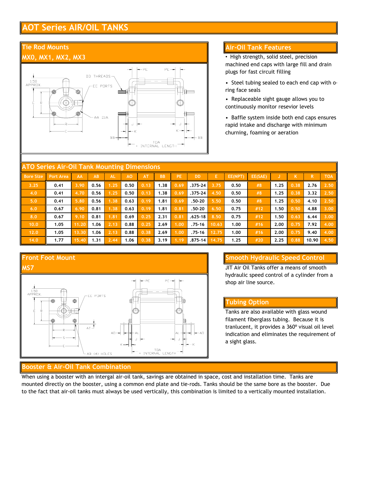# **AOT Series AIR/OIL TANKS**

#### **Tie Rod Mounts MX0, MX1, MX2, MX3** PE PE-DD THREADS  $1.50$ <br>APPROX EE PORTS Ŧ AA DIA.

 $\overline{B}B$ 

#### **Air-Oil Tank Features**

• High strength, solid steel, precision machined end caps with large fill and drain plugs for fast circuit filling

- Steel tubing sealed to each end cap with oring face seals
- Replaceable sight gauge allows you to continuously monitor resevior levels
- Baffle system inside both end caps ensures rapid intake and discharge with minimum churning, foaming or aeration

| <b>ATO Series Air-Oil Tank Mounting Dimensions</b> |                  |       |      |           |                |           |           |           |             |       |         |         |      |      |       |            |
|----------------------------------------------------|------------------|-------|------|-----------|----------------|-----------|-----------|-----------|-------------|-------|---------|---------|------|------|-------|------------|
| <b>Bore Size</b>                                   | <b>Port Area</b> | AA    | AB   | <b>AL</b> | A <sub>O</sub> | <b>AT</b> | <b>BB</b> | <b>PE</b> | <b>DD</b>   | E     | EE(NPT) | EE(SAE) |      | K    | R.    | <b>TOA</b> |
| 3.25                                               | 0.41             | 3.90  | 0.56 | 1.25      | 0.50           | 0.13      | 1.38      | 0.69      | $.375 - 24$ | 3.75  | 0.50    | #8      | 1.25 | 0.38 | 2.76  | 2.50       |
| 4.0                                                | 0.41             | 4.70  | 0.56 | 1.25      | 0.50           | 0.13      | 1.38      | 0.69      | $.375 - 24$ | 4.50  | 0.50    | #8      | 1.25 | 0.38 | 3.32  | 2.50       |
| 5.0                                                | 0.41             | 5.80  | 0.56 | 1.38      | 0.63           | 0.19      | 1.81      | 0.69      | $.50 - 20$  | 5.50  | 0.50    | #8      | 1.25 | 0.50 | 4.10  | 2.50       |
| 6.0                                                | 0.67             | 6.90  | 0.81 | 1.38      | 0.63           | 0.19      | 1.81      | 0.81      | .50-20      | 6.50  | 0.75    | #12     | 1.50 | 0.50 | 4.88  | 3.00       |
| 8.0                                                | 0.67             | 9.10  | 0.81 | 1.81      | 0.69           | 0.25      | 2.31      | 0.81      | $.625 - 18$ | 8.50  | 0.75    | #12     | 1.50 | 0.63 | 6.44  | 3.00       |
| 10.0                                               | 1.05             | 11.20 | 1.06 | 2.13      | 0.88           | 0.25      | 2.69      | 1.00      | $.75 - 16$  | 10.63 | 1.00    | #16     | 2.00 | 0.75 | 7.92  | 4.00       |
| 12.0                                               | 1.05             | 13.30 | 1.06 | 2.13      | 0.88           | 0.38      | 2.69      | 1.00      | .75-16      | 12.75 | 1.00    | #16     | 2.00 | 0.75 | 9.40  | 4.00       |
| 14.0                                               | 1.77             | 15.40 | 1.31 | 2.44      | 1.06           | 0.38      | 3.19      | 1.19      | $.875 - 14$ | 14.75 | 1.25    | #20     | 2.25 | 0.88 | 10.90 | 4.50       |

TOA<br>INTERNAL LENGTH

ВB



#### **Smooth Hydraulic Speed Control**

JIT Air Oil Tanks offer a means of smooth hydraulic speed control of a cylinder from a shop air line source.

#### **Tubing Option**

Tanks are also available with glass wound filament fiberglass tubing. Because it is tranlucent, it provides a 360º visual oil level indication and eliminates the requirement of a sight glass.

#### **Booster & Air-Oil Tank Combination**

When using a booster with an intergal air-oil tank, savings are obtained in space, cost and installation time. Tanks are mounted directly on the booster, using a common end plate and tie-rods. Tanks should be the same bore as the booster. Due to the fact that air-oil tanks must always be used vertically, this combination is limited to a vertically mounted installation.